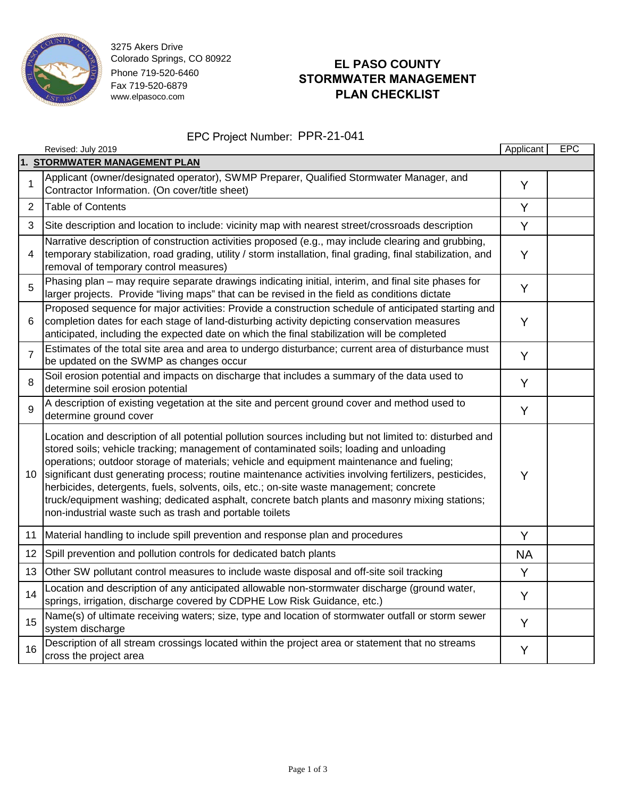

3275 Akers Drive Colorado Springs, CO 80922 Phone 719-520-6460 Fax 719-520-6879 www.elpasoco.com

# **EL PASO COUNTY STORMWATER MANAGEMENT PLAN CHECKLIST**

#### EPC Project Number: PPR-21-041

|                               | Revised: July 2019                                                                                                                                                                                                                                                                                                                                                                                                                                                                                                                                                                                                                                               | Applicant | <b>EPC</b> |  |  |  |
|-------------------------------|------------------------------------------------------------------------------------------------------------------------------------------------------------------------------------------------------------------------------------------------------------------------------------------------------------------------------------------------------------------------------------------------------------------------------------------------------------------------------------------------------------------------------------------------------------------------------------------------------------------------------------------------------------------|-----------|------------|--|--|--|
| 1. STORMWATER MANAGEMENT PLAN |                                                                                                                                                                                                                                                                                                                                                                                                                                                                                                                                                                                                                                                                  |           |            |  |  |  |
| 1                             | Applicant (owner/designated operator), SWMP Preparer, Qualified Stormwater Manager, and<br>Contractor Information. (On cover/title sheet)                                                                                                                                                                                                                                                                                                                                                                                                                                                                                                                        | Y         |            |  |  |  |
| 2                             | <b>Table of Contents</b>                                                                                                                                                                                                                                                                                                                                                                                                                                                                                                                                                                                                                                         | Y         |            |  |  |  |
| 3                             | Site description and location to include: vicinity map with nearest street/crossroads description                                                                                                                                                                                                                                                                                                                                                                                                                                                                                                                                                                | Y         |            |  |  |  |
| 4                             | Narrative description of construction activities proposed (e.g., may include clearing and grubbing,<br>temporary stabilization, road grading, utility / storm installation, final grading, final stabilization, and<br>removal of temporary control measures)                                                                                                                                                                                                                                                                                                                                                                                                    | Y         |            |  |  |  |
| 5                             | Phasing plan – may require separate drawings indicating initial, interim, and final site phases for<br>larger projects. Provide "living maps" that can be revised in the field as conditions dictate                                                                                                                                                                                                                                                                                                                                                                                                                                                             | Y         |            |  |  |  |
| 6                             | Proposed sequence for major activities: Provide a construction schedule of anticipated starting and<br>completion dates for each stage of land-disturbing activity depicting conservation measures<br>anticipated, including the expected date on which the final stabilization will be completed                                                                                                                                                                                                                                                                                                                                                                | Y         |            |  |  |  |
| $\overline{7}$                | Estimates of the total site area and area to undergo disturbance; current area of disturbance must<br>be updated on the SWMP as changes occur                                                                                                                                                                                                                                                                                                                                                                                                                                                                                                                    | Y         |            |  |  |  |
| 8                             | Soil erosion potential and impacts on discharge that includes a summary of the data used to<br>determine soil erosion potential                                                                                                                                                                                                                                                                                                                                                                                                                                                                                                                                  | Y         |            |  |  |  |
| 9                             | A description of existing vegetation at the site and percent ground cover and method used to<br>determine ground cover                                                                                                                                                                                                                                                                                                                                                                                                                                                                                                                                           | Y         |            |  |  |  |
| 10 <sup>1</sup>               | Location and description of all potential pollution sources including but not limited to: disturbed and<br>stored soils; vehicle tracking; management of contaminated soils; loading and unloading<br>operations; outdoor storage of materials; vehicle and equipment maintenance and fueling;<br>significant dust generating process; routine maintenance activities involving fertilizers, pesticides,<br>herbicides, detergents, fuels, solvents, oils, etc.; on-site waste management; concrete<br>truck/equipment washing; dedicated asphalt, concrete batch plants and masonry mixing stations;<br>non-industrial waste such as trash and portable toilets | Y         |            |  |  |  |
| 11                            | Material handling to include spill prevention and response plan and procedures                                                                                                                                                                                                                                                                                                                                                                                                                                                                                                                                                                                   | Y         |            |  |  |  |
| 12 <sub>2</sub>               | Spill prevention and pollution controls for dedicated batch plants                                                                                                                                                                                                                                                                                                                                                                                                                                                                                                                                                                                               | <b>NA</b> |            |  |  |  |
| 13                            | Other SW pollutant control measures to include waste disposal and off-site soil tracking                                                                                                                                                                                                                                                                                                                                                                                                                                                                                                                                                                         | Y         |            |  |  |  |
| 14                            | Location and description of any anticipated allowable non-stormwater discharge (ground water,<br>springs, irrigation, discharge covered by CDPHE Low Risk Guidance, etc.)                                                                                                                                                                                                                                                                                                                                                                                                                                                                                        | Y         |            |  |  |  |
| 15                            | Name(s) of ultimate receiving waters; size, type and location of stormwater outfall or storm sewer<br>system discharge                                                                                                                                                                                                                                                                                                                                                                                                                                                                                                                                           | Y         |            |  |  |  |
| 16                            | Description of all stream crossings located within the project area or statement that no streams<br>cross the project area                                                                                                                                                                                                                                                                                                                                                                                                                                                                                                                                       | Υ         |            |  |  |  |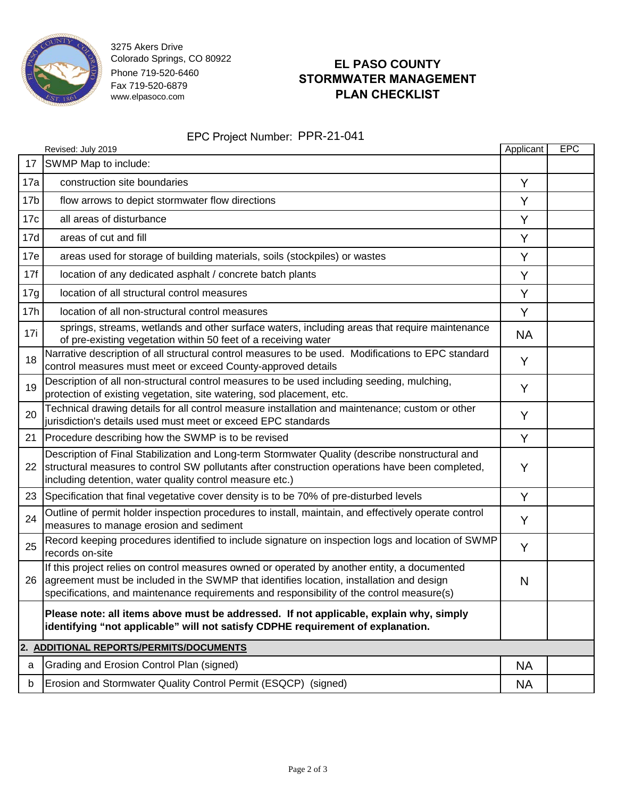

3275 Akers Drive Colorado Springs, CO 80922 Phone 719-520-6460 Fax 719-520-6879 www.elpasoco.com

# **EL PASO COUNTY STORMWATER MANAGEMENT PLAN CHECKLIST**

### EPC Project Number: PPR-21-041

| EPC Project Number: PPR-21-041          |                                                                                                                                                                                                                                                                                          |           |     |  |  |  |
|-----------------------------------------|------------------------------------------------------------------------------------------------------------------------------------------------------------------------------------------------------------------------------------------------------------------------------------------|-----------|-----|--|--|--|
|                                         | Revised: July 2019                                                                                                                                                                                                                                                                       | Applicant | EPC |  |  |  |
| 17                                      | SWMP Map to include:                                                                                                                                                                                                                                                                     |           |     |  |  |  |
| 17a                                     | construction site boundaries                                                                                                                                                                                                                                                             | Y         |     |  |  |  |
| 17 <sub>b</sub>                         | flow arrows to depict stormwater flow directions                                                                                                                                                                                                                                         | Y         |     |  |  |  |
| 17 <sub>c</sub>                         | all areas of disturbance                                                                                                                                                                                                                                                                 | Y         |     |  |  |  |
| 17d                                     | areas of cut and fill                                                                                                                                                                                                                                                                    | Y         |     |  |  |  |
| 17e                                     | areas used for storage of building materials, soils (stockpiles) or wastes                                                                                                                                                                                                               | Y         |     |  |  |  |
| 17f                                     | location of any dedicated asphalt / concrete batch plants                                                                                                                                                                                                                                | Y         |     |  |  |  |
| 17g                                     | location of all structural control measures                                                                                                                                                                                                                                              | Y         |     |  |  |  |
| 17h                                     | location of all non-structural control measures                                                                                                                                                                                                                                          | Y         |     |  |  |  |
| 17i                                     | springs, streams, wetlands and other surface waters, including areas that require maintenance<br>of pre-existing vegetation within 50 feet of a receiving water                                                                                                                          | <b>NA</b> |     |  |  |  |
| 18                                      | Narrative description of all structural control measures to be used. Modifications to EPC standard<br>control measures must meet or exceed County-approved details                                                                                                                       | Y         |     |  |  |  |
| 19                                      | Description of all non-structural control measures to be used including seeding, mulching,<br>protection of existing vegetation, site watering, sod placement, etc.                                                                                                                      | Y         |     |  |  |  |
| 20                                      | Technical drawing details for all control measure installation and maintenance; custom or other<br>jurisdiction's details used must meet or exceed EPC standards                                                                                                                         | Y         |     |  |  |  |
| 21                                      | Procedure describing how the SWMP is to be revised                                                                                                                                                                                                                                       | Y         |     |  |  |  |
| 22                                      | Description of Final Stabilization and Long-term Stormwater Quality (describe nonstructural and<br>structural measures to control SW pollutants after construction operations have been completed,<br>including detention, water quality control measure etc.)                           | Y         |     |  |  |  |
|                                         | 23 Specification that final vegetative cover density is to be 70% of pre-disturbed levels                                                                                                                                                                                                | Y         |     |  |  |  |
| 24                                      | Outline of permit holder inspection procedures to install, maintain, and effectively operate control<br>measures to manage erosion and sediment                                                                                                                                          | Y         |     |  |  |  |
| 25                                      | Record keeping procedures identified to include signature on inspection logs and location of SWMP<br>records on-site                                                                                                                                                                     | Y         |     |  |  |  |
|                                         | If this project relies on control measures owned or operated by another entity, a documented<br>26 agreement must be included in the SWMP that identifies location, installation and design<br>specifications, and maintenance requirements and responsibility of the control measure(s) | N         |     |  |  |  |
|                                         | Please note: all items above must be addressed. If not applicable, explain why, simply<br>identifying "not applicable" will not satisfy CDPHE requirement of explanation.                                                                                                                |           |     |  |  |  |
| 2. ADDITIONAL REPORTS/PERMITS/DOCUMENTS |                                                                                                                                                                                                                                                                                          |           |     |  |  |  |
| a                                       | Grading and Erosion Control Plan (signed)                                                                                                                                                                                                                                                | NA        |     |  |  |  |
| b                                       | Erosion and Stormwater Quality Control Permit (ESQCP) (signed)                                                                                                                                                                                                                           | ΝA        |     |  |  |  |